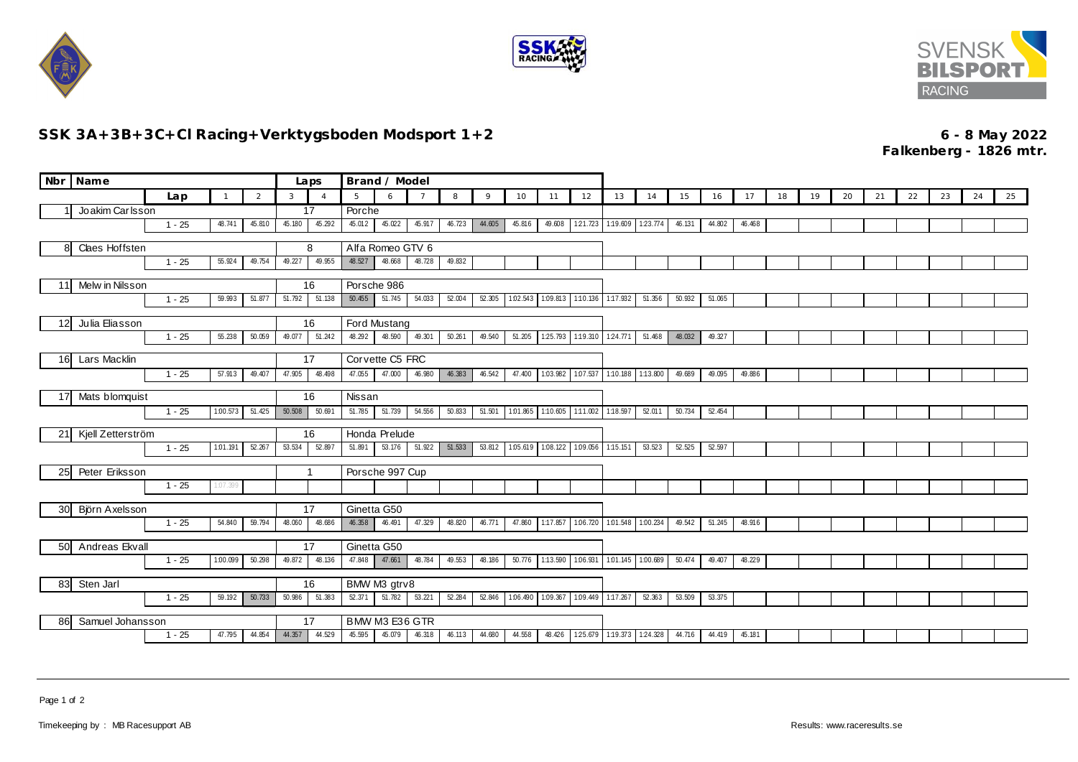





## **SSK 3A+3B+3C+Cl Racing+Verktygsboden Modsport 1+2 6 - 8 May 2022**

**Falkenberg - 1826 mtr.**

|                                                 | Nbr Name                     |          |              |                |              | Laps                  | Brand / Model   |                                 |                 |        |          |                          |                 |                                   |                                            |        |        |        |        |    |    |    |    |    |    |    |    |
|-------------------------------------------------|------------------------------|----------|--------------|----------------|--------------|-----------------------|-----------------|---------------------------------|-----------------|--------|----------|--------------------------|-----------------|-----------------------------------|--------------------------------------------|--------|--------|--------|--------|----|----|----|----|----|----|----|----|
|                                                 |                              | Lap      | $\mathbf{1}$ | $\overline{2}$ | $\mathbf{3}$ | $\Delta$              | 5               | 6                               | $7\overline{ }$ | 8      | 9        | 10                       | 11              | 12                                | 13                                         | 14     | 15     | 16     | 17     | 18 | 19 | 20 | 21 | 22 | 23 | 24 | 25 |
|                                                 | Joakim Carlsson              |          |              |                | 17           |                       | Porche          |                                 |                 |        |          |                          |                 |                                   |                                            |        |        |        |        |    |    |    |    |    |    |    |    |
|                                                 |                              | $1 - 25$ | 48.741       | 45.810         | 45.180       | 45.292                | 45.012          | 45.022                          | 45.917          | 46.723 | 44.605   | 45.816                   | 49.608          |                                   | 121.723 1:19.609 123.774                   |        | 46.131 | 44.802 | 46.468 |    |    |    |    |    |    |    |    |
| Claes Hoffsten<br>8                             |                              |          |              |                | 8            | Alfa Romeo GTV 6      |                 |                                 |                 |        |          |                          |                 |                                   |                                            |        |        |        |        |    |    |    |    |    |    |    |    |
|                                                 |                              | $1 - 25$ | 55.924       | 49.754         | 49.227       | 49.955                | 48.527          | 48.668                          | 48.728          | 49.832 |          |                          |                 |                                   |                                            |        |        |        |        |    |    |    |    |    |    |    |    |
| Melw in Nilsson<br>11                           |                              |          |              |                | 16           | Porsche 986           |                 |                                 |                 |        |          |                          |                 |                                   |                                            |        |        |        |        |    |    |    |    |    |    |    |    |
|                                                 | $1 - 25$<br>59.993<br>51.877 |          |              | 51.792         | 51.138       | 50.455                | 51.745          | 54.033                          | 52.004          | 52.305 | 1.02.543 |                          |                 | 1.09.813 1.10.136 1.17.932 51.356 |                                            | 50.932 | 51.065 |        |        |    |    |    |    |    |    |    |    |
|                                                 |                              |          |              |                |              |                       |                 |                                 |                 |        |          |                          |                 |                                   |                                            |        |        |        |        |    |    |    |    |    |    |    |    |
| 12                                              | Julia Eliasson               |          |              |                |              | 16                    |                 | Ford Mustang                    |                 |        |          |                          |                 |                                   |                                            |        |        |        |        |    |    |    |    |    |    |    |    |
|                                                 |                              | $1 - 25$ | 55.238       | 50.059         | 49.077       | 51.242                | 48.292          | 48.590                          | 49.301          | 50.261 | 49.540   | 51.205                   | 125.793         |                                   | 1:19.310 1:24.771 51.468                   |        | 48.032 | 49.327 |        |    |    |    |    |    |    |    |    |
| 16                                              | Lars Macklin                 |          |              |                |              | Corvette C5 FRC<br>17 |                 |                                 |                 |        |          |                          |                 |                                   |                                            |        |        |        |        |    |    |    |    |    |    |    |    |
|                                                 |                              | $1 - 25$ | 57.913       | 49.407         | 47.905       | 48.498                | 47.055          | 47.000                          | 46.980          | 46.383 | 46.542   | 47.400                   | 1.03.982        |                                   | 1.07.537 1:10.188 1:13.800                 |        | 49.689 | 49.095 | 49.886 |    |    |    |    |    |    |    |    |
| 17                                              | Mats blomquist               |          |              |                |              | 16                    | Nissan          |                                 |                 |        |          |                          |                 |                                   |                                            |        |        |        |        |    |    |    |    |    |    |    |    |
|                                                 |                              | $1 - 25$ | 1:00.573     | 51.425         | 50.508       | 50.691                | 51.785          | 51.739                          | 54.556          | 50.833 | 51.501   | 1.01.865                 | 1:10.605        |                                   | 1:11.002 1:18.597                          | 52.011 | 50.734 | 52.454 |        |    |    |    |    |    |    |    |    |
| 21                                              | Kjell Zetterström            |          |              |                |              | 16                    | Honda Prelude   |                                 |                 |        |          |                          |                 |                                   |                                            |        |        |        |        |    |    |    |    |    |    |    |    |
|                                                 |                              | $1 - 25$ | 1:01.191     | 52.267         | 53.534       | 52.897                | 51.891          | 53.176 51.922                   |                 | 51.533 |          | 53.812 1.05.619 1.08.122 |                 |                                   | 1.09.056 1.15.151                          | 53.523 | 52.525 | 52.597 |        |    |    |    |    |    |    |    |    |
|                                                 |                              |          |              |                |              |                       |                 |                                 |                 |        |          |                          |                 |                                   |                                            |        |        |        |        |    |    |    |    |    |    |    |    |
| 25                                              | Peter Eriksson               |          |              |                |              | 1                     | Porsche 997 Cup |                                 |                 |        |          |                          |                 |                                   |                                            |        |        |        |        |    |    |    |    |    |    |    |    |
|                                                 |                              | $1 - 25$ | 1:07.399     |                |              |                       |                 |                                 |                 |        |          |                          |                 |                                   |                                            |        |        |        |        |    |    |    |    |    |    |    |    |
| 30                                              | Björn Axelsson               |          |              |                |              | 17<br>Ginetta G50     |                 |                                 |                 |        |          |                          |                 |                                   |                                            |        |        |        |        |    |    |    |    |    |    |    |    |
|                                                 |                              | $1 - 25$ | 54.840       | 59.794         | 48.060       | 48.686                | 46.358          | 46.491                          | 47.329          | 48.820 | 46.771   |                          |                 |                                   | 47.860 1.17.857 1.06.720 1.01.548 1.00.234 |        | 49.542 | 51.245 | 48.916 |    |    |    |    |    |    |    |    |
| 50                                              | Andreas Ekvall               |          |              |                |              | Ginetta G50<br>17     |                 |                                 |                 |        |          |                          |                 |                                   |                                            |        |        |        |        |    |    |    |    |    |    |    |    |
|                                                 |                              | $1 - 25$ | 1:00.099     | 50.298         | 49.872       | 48.136                | 47.848          | 47.661                          | 48.784          | 49.553 | 48.186   |                          | 50.776 1:13.590 |                                   | 1.06.931 1.01.145 1.00.689                 |        | 50.474 | 49.407 | 48.229 |    |    |    |    |    |    |    |    |
|                                                 |                              |          |              |                |              |                       |                 |                                 |                 |        |          |                          |                 |                                   |                                            |        |        |        |        |    |    |    |    |    |    |    |    |
| 83<br>Sten Jarl<br>59.192<br>$1 - 25$<br>50.733 |                              |          |              |                | 50.986       | 16<br>51.383          | 52.371          | BMW M3 gtrv8<br>51.782   53.221 |                 | 52.284 | 52.846   | 1:06.490                 | 1.09.367        |                                   | 1.09.449 1:17.267                          | 52.363 | 53.509 | 53.375 |        |    |    |    |    |    |    |    |    |
|                                                 |                              |          |              |                |              |                       |                 |                                 |                 |        |          |                          |                 |                                   |                                            |        |        |        |        |    |    |    |    |    |    |    |    |
| 86                                              | Samuel Johansson             |          |              |                |              | 17                    | BMW M3 E36 GTR  |                                 |                 |        |          |                          |                 |                                   |                                            |        |        |        |        |    |    |    |    |    |    |    |    |
|                                                 |                              | $1 - 25$ | 47.795       | 44.854         | 44.357       | 44.529                | 45.595          | 45.079                          | 46.318          | 46.113 | 44.680   | 44.558                   | 48.426          |                                   | 125.679 1:19.373 124.328                   |        | 44.716 | 44.419 | 45.181 |    |    |    |    |    |    |    |    |